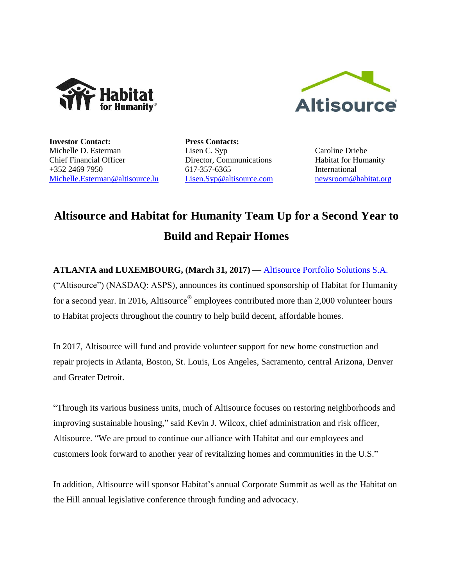



**Investor Contact:** Michelle D. Esterman Chief Financial Officer +352 2469 7950 [Michelle.Esterman@altisource.lu](mailto:Michelle.Esterman@altisource.lu) **Press Contacts:** Lisen C. Syp Director, Communications 617-357-6365 [Lisen.Syp@altisource.com](mailto:Lisen.Syp@altisource.com)

Caroline Driebe Habitat for Humanity International [newsroom@habitat.org](mailto:newsroom@habitat.org)

## **Altisource and Habitat for Humanity Team Up for a Second Year to Build and Repair Homes**

**ATLANTA and LUXEMBOURG, (March 31, 2017)** — [Altisource Portfolio Solutions S.A.](https://www.altisource.com/?utm_campaign=Habitat2017&utm_source=PR&utm_medium=PR&utm_content=first) ("Altisource") (NASDAQ: ASPS), announces its continued sponsorship of Habitat for Humanity for a second year. In 2016, Altisource<sup>®</sup> employees contributed more than 2,000 volunteer hours to Habitat projects throughout the country to help build decent, affordable homes.

In 2017, Altisource will fund and provide volunteer support for new home construction and repair projects in Atlanta, Boston, St. Louis, Los Angeles, Sacramento, central Arizona, Denver and Greater Detroit.

"Through its various business units, much of Altisource focuses on restoring neighborhoods and improving sustainable housing," said Kevin J. Wilcox, chief administration and risk officer, Altisource. "We are proud to continue our alliance with Habitat and our employees and customers look forward to another year of revitalizing homes and communities in the U.S."

In addition, Altisource will sponsor Habitat's annual Corporate Summit as well as the Habitat on the Hill annual legislative conference through funding and advocacy.